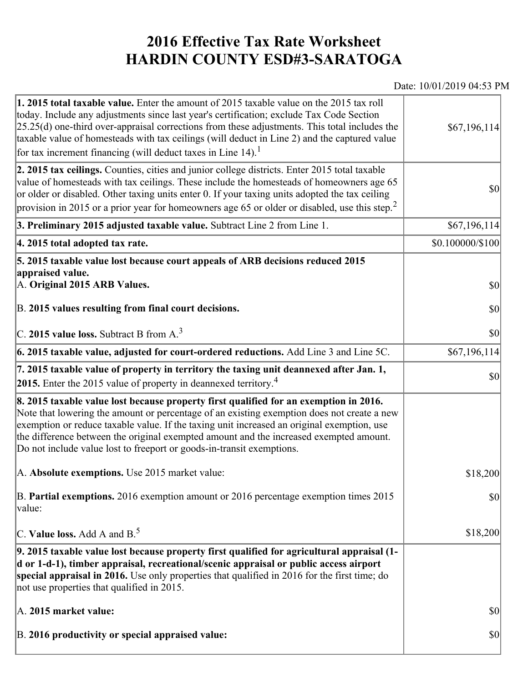## **2016 Effective Tax Rate Worksheet HARDIN COUNTY ESD#3-SARATOGA**

## Date: 10/01/2019 04:53 PM

| 1. 2015 total taxable value. Enter the amount of 2015 taxable value on the 2015 tax roll<br>today. Include any adjustments since last year's certification; exclude Tax Code Section<br>$[25.25(d)$ one-third over-appraisal corrections from these adjustments. This total includes the<br>taxable value of homesteads with tax ceilings (will deduct in Line 2) and the captured value<br>for tax increment financing (will deduct taxes in Line $14$ ). <sup>1</sup> | \$67,196,114]                |
|-------------------------------------------------------------------------------------------------------------------------------------------------------------------------------------------------------------------------------------------------------------------------------------------------------------------------------------------------------------------------------------------------------------------------------------------------------------------------|------------------------------|
| 2. 2015 tax ceilings. Counties, cities and junior college districts. Enter 2015 total taxable<br>value of homesteads with tax ceilings. These include the homesteads of homeowners age 65<br>or older or disabled. Other taxing units enter 0. If your taxing units adopted the tax ceiling<br>provision in 2015 or a prior year for homeowners age 65 or older or disabled, use this step. <sup>2</sup>                                                                | 30                           |
| 3. Preliminary 2015 adjusted taxable value. Subtract Line 2 from Line 1.                                                                                                                                                                                                                                                                                                                                                                                                | \$67,196,114]                |
| 4. 2015 total adopted tax rate.                                                                                                                                                                                                                                                                                                                                                                                                                                         | $$0.100000 \times 100$       |
| 5. 2015 taxable value lost because court appeals of ARB decisions reduced 2015<br>appraised value.<br>A. Original 2015 ARB Values.<br>B. 2015 values resulting from final court decisions.                                                                                                                                                                                                                                                                              | $ 10\rangle$<br>$ 10\rangle$ |
| C. 2015 value loss. Subtract B from A. <sup>3</sup>                                                                                                                                                                                                                                                                                                                                                                                                                     | $ 10\rangle$                 |
| 6. 2015 taxable value, adjusted for court-ordered reductions. Add Line 3 and Line 5C.                                                                                                                                                                                                                                                                                                                                                                                   | \$67,196,114                 |
| 7. 2015 taxable value of property in territory the taxing unit deannexed after Jan. 1,<br><b>2015.</b> Enter the 2015 value of property in deannexed territory. <sup>4</sup>                                                                                                                                                                                                                                                                                            | $ 10\rangle$                 |
| 8. 2015 taxable value lost because property first qualified for an exemption in 2016.<br>Note that lowering the amount or percentage of an existing exemption does not create a new<br>exemption or reduce taxable value. If the taxing unit increased an original exemption, use<br>the difference between the original exempted amount and the increased exempted amount.<br>Do not include value lost to freeport or goods-in-transit exemptions.                    |                              |
| A. Absolute exemptions. Use 2015 market value:                                                                                                                                                                                                                                                                                                                                                                                                                          | \$18,200                     |
| B. Partial exemptions. 2016 exemption amount or 2016 percentage exemption times 2015<br>$\vert$ value:                                                                                                                                                                                                                                                                                                                                                                  | $ 10\rangle$                 |
| C. Value loss. Add A and $B^5$                                                                                                                                                                                                                                                                                                                                                                                                                                          | \$18,200                     |
| 9. 2015 taxable value lost because property first qualified for agricultural appraisal (1-<br>d or 1-d-1), timber appraisal, recreational/scenic appraisal or public access airport<br>special appraisal in 2016. Use only properties that qualified in 2016 for the first time; do<br>not use properties that qualified in 2015.                                                                                                                                       |                              |
| A. 2015 market value:                                                                                                                                                                                                                                                                                                                                                                                                                                                   | \$0                          |
| B. 2016 productivity or special appraised value:                                                                                                                                                                                                                                                                                                                                                                                                                        | \$0                          |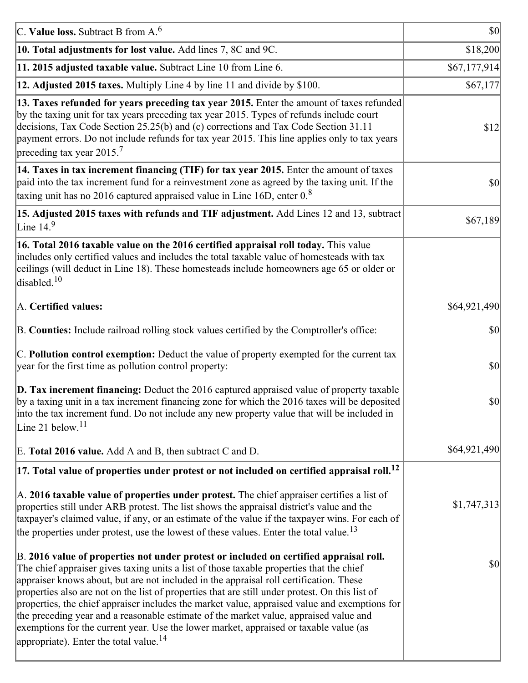| C. Value loss. Subtract B from $A6$                                                                                                                                                                                                                                                                                                                                                                                                                                                                                                                                                                                                                                                                                      | <b>\$0</b>   |
|--------------------------------------------------------------------------------------------------------------------------------------------------------------------------------------------------------------------------------------------------------------------------------------------------------------------------------------------------------------------------------------------------------------------------------------------------------------------------------------------------------------------------------------------------------------------------------------------------------------------------------------------------------------------------------------------------------------------------|--------------|
| 10. Total adjustments for lost value. Add lines 7, 8C and 9C.                                                                                                                                                                                                                                                                                                                                                                                                                                                                                                                                                                                                                                                            | \$18,200     |
| 11. 2015 adjusted taxable value. Subtract Line 10 from Line 6.                                                                                                                                                                                                                                                                                                                                                                                                                                                                                                                                                                                                                                                           | \$67,177,914 |
| 12. Adjusted 2015 taxes. Multiply Line 4 by line 11 and divide by \$100.                                                                                                                                                                                                                                                                                                                                                                                                                                                                                                                                                                                                                                                 | \$67,177     |
| 13. Taxes refunded for years preceding tax year 2015. Enter the amount of taxes refunded<br>by the taxing unit for tax years preceding tax year 2015. Types of refunds include court<br>decisions, Tax Code Section 25.25(b) and (c) corrections and Tax Code Section 31.11<br>payment errors. Do not include refunds for tax year 2015. This line applies only to tax years<br>preceding tax year 2015. <sup>7</sup>                                                                                                                                                                                                                                                                                                    | \$12         |
| 14. Taxes in tax increment financing (TIF) for tax year 2015. Enter the amount of taxes<br>paid into the tax increment fund for a reinvestment zone as agreed by the taxing unit. If the<br>taxing unit has no 2016 captured appraised value in Line 16D, enter $0.8$                                                                                                                                                                                                                                                                                                                                                                                                                                                    | 30           |
| 15. Adjusted 2015 taxes with refunds and TIF adjustment. Add Lines 12 and 13, subtract<br>Line $14.9$                                                                                                                                                                                                                                                                                                                                                                                                                                                                                                                                                                                                                    | \$67,189     |
| 16. Total 2016 taxable value on the 2016 certified appraisal roll today. This value<br>includes only certified values and includes the total taxable value of homesteads with tax<br>ceilings (will deduct in Line 18). These homesteads include homeowners age 65 or older or<br>disabled. <sup>10</sup>                                                                                                                                                                                                                                                                                                                                                                                                                |              |
| A. Certified values:                                                                                                                                                                                                                                                                                                                                                                                                                                                                                                                                                                                                                                                                                                     | \$64,921,490 |
| B. Counties: Include railroad rolling stock values certified by the Comptroller's office:                                                                                                                                                                                                                                                                                                                                                                                                                                                                                                                                                                                                                                | \$0          |
| C. Pollution control exemption: Deduct the value of property exempted for the current tax<br>year for the first time as pollution control property:                                                                                                                                                                                                                                                                                                                                                                                                                                                                                                                                                                      | $ 10\rangle$ |
| $\vert$ D. Tax increment financing: Deduct the 2016 captured appraised value of property taxable<br>by a taxing unit in a tax increment financing zone for which the 2016 taxes will be deposited<br>into the tax increment fund. Do not include any new property value that will be included in<br>Line 21 below. $11$                                                                                                                                                                                                                                                                                                                                                                                                  | \$0          |
| E. Total 2016 value. Add A and B, then subtract C and D.                                                                                                                                                                                                                                                                                                                                                                                                                                                                                                                                                                                                                                                                 | \$64,921,490 |
| $ 17$ . Total value of properties under protest or not included on certified appraisal roll. <sup>12</sup>                                                                                                                                                                                                                                                                                                                                                                                                                                                                                                                                                                                                               |              |
| A. 2016 taxable value of properties under protest. The chief appraiser certifies a list of<br>properties still under ARB protest. The list shows the appraisal district's value and the<br>taxpayer's claimed value, if any, or an estimate of the value if the taxpayer wins. For each of<br>the properties under protest, use the lowest of these values. Enter the total value. <sup>13</sup>                                                                                                                                                                                                                                                                                                                         | \$1,747,313  |
| B. 2016 value of properties not under protest or included on certified appraisal roll.<br>The chief appraiser gives taxing units a list of those taxable properties that the chief<br>appraiser knows about, but are not included in the appraisal roll certification. These<br>properties also are not on the list of properties that are still under protest. On this list of<br>properties, the chief appraiser includes the market value, appraised value and exemptions for<br>the preceding year and a reasonable estimate of the market value, appraised value and<br>exemptions for the current year. Use the lower market, appraised or taxable value (as<br>appropriate). Enter the total value. <sup>14</sup> | \$0          |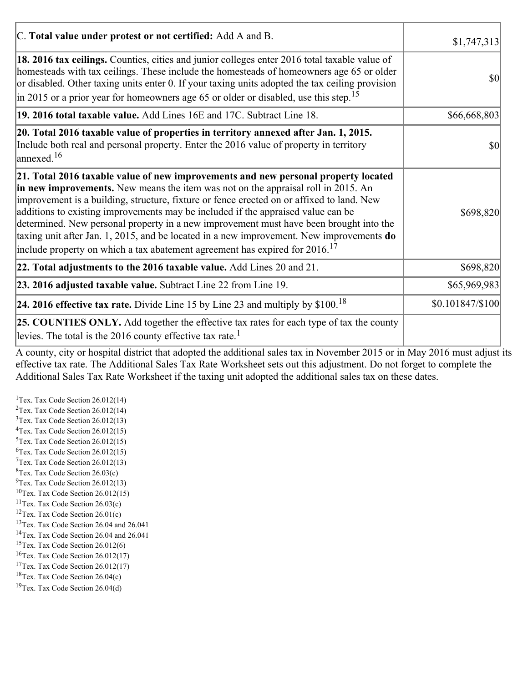| C. Total value under protest or not certified: Add A and B.                                                                                                                                                                                                                                                                                                                                                                                                                                                                                                                                                                                  | \$1,747,313     |
|----------------------------------------------------------------------------------------------------------------------------------------------------------------------------------------------------------------------------------------------------------------------------------------------------------------------------------------------------------------------------------------------------------------------------------------------------------------------------------------------------------------------------------------------------------------------------------------------------------------------------------------------|-----------------|
| 18. 2016 tax ceilings. Counties, cities and junior colleges enter 2016 total taxable value of<br>homesteads with tax ceilings. These include the homesteads of homeowners age 65 or older<br>or disabled. Other taxing units enter 0. If your taxing units adopted the tax ceiling provision<br>$\vert$ in 2015 or a prior year for homeowners age 65 or older or disabled, use this step. <sup>15</sup>                                                                                                                                                                                                                                     | \$0             |
| 19. 2016 total taxable value. Add Lines 16E and 17C. Subtract Line 18.                                                                                                                                                                                                                                                                                                                                                                                                                                                                                                                                                                       | \$66,668,803    |
| 20. Total 2016 taxable value of properties in territory annexed after Jan. 1, 2015.<br>Include both real and personal property. Enter the 2016 value of property in territory<br>$\alpha$ annexed. <sup>16</sup>                                                                                                                                                                                                                                                                                                                                                                                                                             | 10              |
| 21. Total 2016 taxable value of new improvements and new personal property located<br>in new improvements. New means the item was not on the appraisal roll in 2015. An<br>improvement is a building, structure, fixture or fence erected on or affixed to land. New<br>additions to existing improvements may be included if the appraised value can be<br>determined. New personal property in a new improvement must have been brought into the<br>taxing unit after Jan. 1, 2015, and be located in a new improvement. New improvements do<br>include property on which a tax abatement agreement has expired for $2016$ . <sup>17</sup> | \$698,820       |
| 22. Total adjustments to the 2016 taxable value. Add Lines 20 and 21.                                                                                                                                                                                                                                                                                                                                                                                                                                                                                                                                                                        | \$698,820       |
| 23. 2016 adjusted taxable value. Subtract Line 22 from Line 19.                                                                                                                                                                                                                                                                                                                                                                                                                                                                                                                                                                              | \$65,969,983    |
| 24. 2016 effective tax rate. Divide Line 15 by Line 23 and multiply by $$100$ . <sup>18</sup>                                                                                                                                                                                                                                                                                                                                                                                                                                                                                                                                                | \$0.101847/S100 |
| <b>25. COUNTIES ONLY.</b> Add together the effective tax rates for each type of tax the county<br>levies. The total is the 2016 county effective tax rate. <sup>1</sup>                                                                                                                                                                                                                                                                                                                                                                                                                                                                      |                 |

A county, city or hospital district that adopted the additional sales tax in November 2015 or in May 2016 must adjust its effective tax rate. The Additional Sales Tax Rate Worksheet sets out this adjustment. Do not forget to complete the Additional Sales Tax Rate Worksheet if the taxing unit adopted the additional sales tax on these dates.

<sup>1</sup>Tex. Tax Code Section  $26.012(14)$ <sup>2</sup>Tex. Tax Code Section  $26.012(14)$  $3$ Tex. Tax Code Section 26.012(13)  ${}^{4}$ Tex. Tax Code Section 26.012(15)  $5$ Tex. Tax Code Section 26.012(15)  ${}^{6}$ Tex. Tax Code Section 26.012(15)  $7$ Tex. Tax Code Section 26.012(13)  ${}^{8}$ Tex. Tax Code Section 26.03(c)  $^{9}$ Tex. Tax Code Section 26.012(13)  $10$ Tex. Tax Code Section 26.012(15) <sup>11</sup>Tex. Tax Code Section  $26.03(c)$ <sup>12</sup>Tex. Tax Code Section  $26.01(c)$ <sup>13</sup>Tex. Tax Code Section 26.04 and 26.041 <sup>14</sup>Tex. Tax Code Section 26.04 and 26.041 <sup>15</sup>Tex. Tax Code Section  $26.012(6)$  $16$ Tex. Tax Code Section 26.012(17) <sup>17</sup>Tex. Tax Code Section  $26.012(17)$ <sup>18</sup>Tex. Tax Code Section 26.04(c) <sup>19</sup>Tex. Tax Code Section 26.04(d)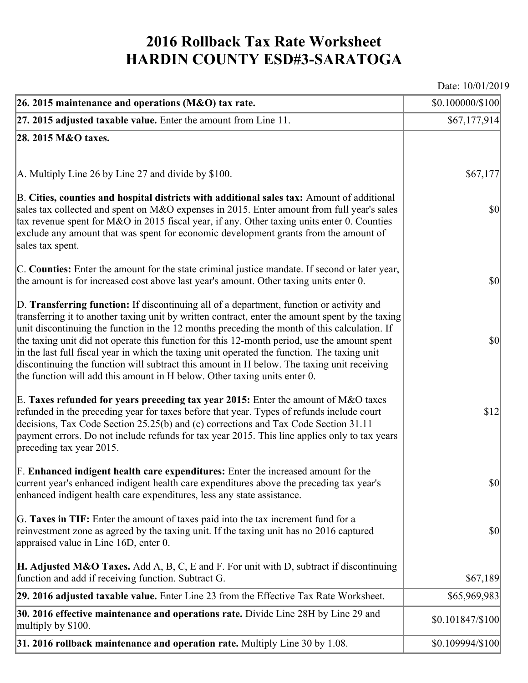## **2016 Rollback Tax Rate Worksheet HARDIN COUNTY ESD#3-SARATOGA**

Date: 10/01/2019

| 26. 2015 maintenance and operations ( $M&O$ ) tax rate.                                                                                                                                                                                                                                                                                                                                                                                                                                                                                                                                                                                                                 | \$0.100000/\$100                    |
|-------------------------------------------------------------------------------------------------------------------------------------------------------------------------------------------------------------------------------------------------------------------------------------------------------------------------------------------------------------------------------------------------------------------------------------------------------------------------------------------------------------------------------------------------------------------------------------------------------------------------------------------------------------------------|-------------------------------------|
| $ 27.2015$ adjusted taxable value. Enter the amount from Line 11.                                                                                                                                                                                                                                                                                                                                                                                                                                                                                                                                                                                                       | \$67,177,914]                       |
| 28. 2015 M&O taxes.                                                                                                                                                                                                                                                                                                                                                                                                                                                                                                                                                                                                                                                     |                                     |
|                                                                                                                                                                                                                                                                                                                                                                                                                                                                                                                                                                                                                                                                         |                                     |
| $ A$ . Multiply Line 26 by Line 27 and divide by \$100.                                                                                                                                                                                                                                                                                                                                                                                                                                                                                                                                                                                                                 | \$67,177                            |
| B. Cities, counties and hospital districts with additional sales tax: Amount of additional<br>sales tax collected and spent on M&O expenses in 2015. Enter amount from full year's sales<br>tax revenue spent for M&O in 2015 fiscal year, if any. Other taxing units enter 0. Counties<br>exclude any amount that was spent for economic development grants from the amount of<br>sales tax spent.                                                                                                                                                                                                                                                                     | $ 10\rangle$                        |
| C. Counties: Enter the amount for the state criminal justice mandate. If second or later year,<br>the amount is for increased cost above last year's amount. Other taxing units enter 0.                                                                                                                                                                                                                                                                                                                                                                                                                                                                                | $ 10\rangle$                        |
| D. Transferring function: If discontinuing all of a department, function or activity and<br>transferring it to another taxing unit by written contract, enter the amount spent by the taxing<br>unit discontinuing the function in the 12 months preceding the month of this calculation. If<br>the taxing unit did not operate this function for this 12-month period, use the amount spent<br>in the last full fiscal year in which the taxing unit operated the function. The taxing unit<br>discontinuing the function will subtract this amount in H below. The taxing unit receiving<br>the function will add this amount in H below. Other taxing units enter 0. | $ 10\rangle$                        |
| E. Taxes refunded for years preceding tax year 2015: Enter the amount of M&O taxes<br>refunded in the preceding year for taxes before that year. Types of refunds include court<br>decisions, Tax Code Section 25.25(b) and (c) corrections and Tax Code Section 31.11<br>payment errors. Do not include refunds for tax year 2015. This line applies only to tax years<br>preceding tax year 2015.                                                                                                                                                                                                                                                                     | \$12                                |
| F. Enhanced indigent health care expenditures: Enter the increased amount for the<br>current year's enhanced indigent health care expenditures above the preceding tax year's<br>enhanced indigent health care expenditures, less any state assistance.                                                                                                                                                                                                                                                                                                                                                                                                                 | $\vert \mathbf{S} \mathbf{0} \vert$ |
| G. Taxes in TIF: Enter the amount of taxes paid into the tax increment fund for a<br>reinvestment zone as agreed by the taxing unit. If the taxing unit has no 2016 captured<br>appraised value in Line 16D, enter 0.                                                                                                                                                                                                                                                                                                                                                                                                                                                   | $ 10\rangle$                        |
| <b>H. Adjusted M&amp;O Taxes.</b> Add A, B, C, E and F. For unit with D, subtract if discontinuing<br>function and add if receiving function. Subtract G.                                                                                                                                                                                                                                                                                                                                                                                                                                                                                                               | \$67,189                            |
| 29. 2016 adjusted taxable value. Enter Line 23 from the Effective Tax Rate Worksheet.                                                                                                                                                                                                                                                                                                                                                                                                                                                                                                                                                                                   | \$65,969,983                        |
| 30. 2016 effective maintenance and operations rate. Divide Line 28H by Line 29 and<br>multiply by \$100.                                                                                                                                                                                                                                                                                                                                                                                                                                                                                                                                                                | \$0.101847/\$100                    |
| $31.2016$ rollback maintenance and operation rate. Multiply Line 30 by 1.08.                                                                                                                                                                                                                                                                                                                                                                                                                                                                                                                                                                                            | \$0.109994/\$100                    |